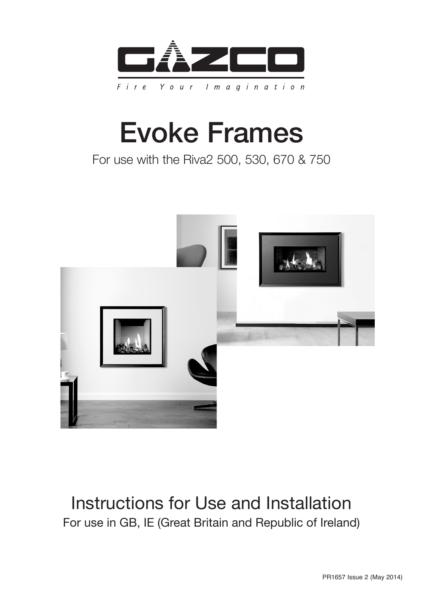

# Evoke Frames

### For use with the Riva2 500, 530, 670 & 750



### Instructions for Use and Installation For use in GB, IE (Great Britain and Republic of Ireland)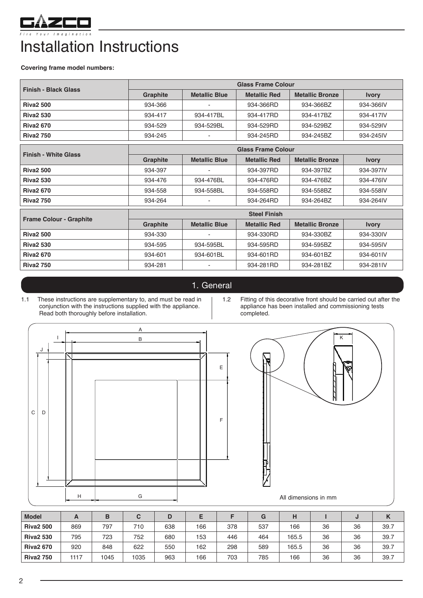

## Installation Instructions

**Covering frame model numbers:** 

| <b>Finish - Black Glass</b>    | <b>Glass Frame Colour</b>         |                              |                     |                        |              |  |  |  |
|--------------------------------|-----------------------------------|------------------------------|---------------------|------------------------|--------------|--|--|--|
|                                | Graphite                          | <b>Metallic Blue</b>         | <b>Metallic Red</b> | <b>Metallic Bronze</b> | <b>Ivory</b> |  |  |  |
| <b>Riva2 500</b>               | 934-366                           |                              | 934-366RD           | 934-366BZ              | 934-366IV    |  |  |  |
| <b>Riva2 530</b>               | 934-417                           | 934-417BL                    | 934-417RD           | 934-417BZ              | 934-417IV    |  |  |  |
| <b>Riva2 670</b>               | 934-529                           | 934-529BL                    | 934-529RD           | 934-529BZ              | 934-529IV    |  |  |  |
| <b>Riva2 750</b>               | 934-245                           |                              | 934-245RD           | 934-245BZ              | 934-245IV    |  |  |  |
|                                | <b>Glass Frame Colour</b>         |                              |                     |                        |              |  |  |  |
| <b>Finish - White Glass</b>    | Graphite                          | <b>Metallic Blue</b>         | <b>Metallic Red</b> | <b>Metallic Bronze</b> | <b>Ivory</b> |  |  |  |
| <b>Riva2 500</b>               | 934-397                           |                              | 934-397RD           | 934-397BZ              | 934-397IV    |  |  |  |
| <b>Riva2 530</b>               | 934-476                           | 934-476BL                    | 934-476RD           | 934-476BZ              | 934-476IV    |  |  |  |
| <b>Riva2 670</b>               | 934-558                           | 934-558BL                    | 934-558RD           | 934-558BZ              | 934-558IV    |  |  |  |
| <b>Riva2 750</b>               | 934-264                           |                              | 934-264RD           | 934-264BZ              | 934-264IV    |  |  |  |
|                                | <b>Steel Finish</b>               |                              |                     |                        |              |  |  |  |
| <b>Frame Colour - Graphite</b> | Graphite                          | <b>Metallic Blue</b>         | <b>Metallic Red</b> | <b>Metallic Bronze</b> | <b>Ivory</b> |  |  |  |
| <b>Riva2 500</b>               | 934-330<br>934-330RD<br>934-330BZ |                              | 934-330IV           |                        |              |  |  |  |
| <b>Riva2 530</b>               | 934-595                           | 934-595BL                    | 934-595RD           | 934-595BZ              | 934-595IV    |  |  |  |
| <b>Riva2 670</b>               | 934-601<br>934-601BL<br>934-601RD |                              |                     | 934-601BZ              | 934-601IV    |  |  |  |
| <b>Riva2 750</b>               | 934-281                           | $\qquad \qquad \blacksquare$ | 934-281RD           | 934-281BZ              | 934-281IV    |  |  |  |

#### 1. General

- 1.1 These instructions are supplementary to, and must be read in conjunction with the instructions supplied with the appliance. Read both thoroughly before installation.
- 1.2 Fitting of this decorative front should be carried out after the appliance has been installed and commissioning tests completed.





| All Ulliersions in Thill |  |  |
|--------------------------|--|--|
|                          |  |  |

| <b>Model</b>     | A    | в    |      |     |     |     | G   | н     |    | J  | N    |
|------------------|------|------|------|-----|-----|-----|-----|-------|----|----|------|
| <b>Riva2 500</b> | 869  | 797  | 710  | 638 | 166 | 378 | 537 | 166   | 36 | 36 | 39.7 |
| <b>Riva2 530</b> | 795  | 723  | 752  | 680 | 153 | 446 | 464 | 165.5 | 36 | 36 | 39.7 |
| <b>Riva2 670</b> | 920  | 848  | 622  | 550 | 162 | 298 | 589 | 165.5 | 36 | 36 | 39.7 |
| <b>Riva2 750</b> | 1117 | 1045 | 1035 | 963 | 166 | 703 | 785 | 166   | 36 | 36 | 39.7 |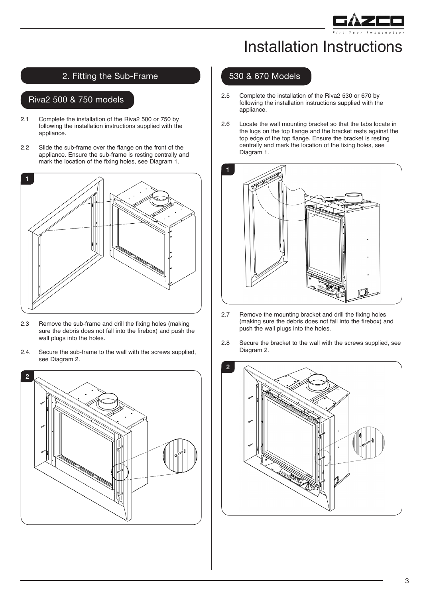

### Installation Instructions

#### 2. Fitting the Sub-Frame

#### Riva2 500 & 750 models

- 2.1 Complete the installation of the Riva2 500 or 750 by following the installation instructions supplied with the appliance.
- 2.2 Slide the sub-frame over the flange on the front of the appliance. Ensure the sub-frame is resting centrally and mark the location of the fixing holes, see Diagram 1.



- 2.3 Remove the sub-frame and drill the fixing holes (making sure the debris does not fall into the firebox) and push the wall plugs into the holes.
- 2.4. Secure the sub-frame to the wall with the screws supplied, see Diagram 2.



#### 530 & 670 Models

- 2.5 Complete the installation of the Riva2 530 or 670 by following the installation instructions supplied with the appliance.
- 2.6 Locate the wall mounting bracket so that the tabs locate in the lugs on the top flange and the bracket rests against the top edge of the top flange. Ensure the bracket is resting centrally and mark the location of the fixing holes, see Diagram 1.



- 2.7 Remove the mounting bracket and drill the fixing holes (making sure the debris does not fall into the firebox) and push the wall plugs into the holes.
- 2.8 Secure the bracket to the wall with the screws supplied, see Diagram 2.